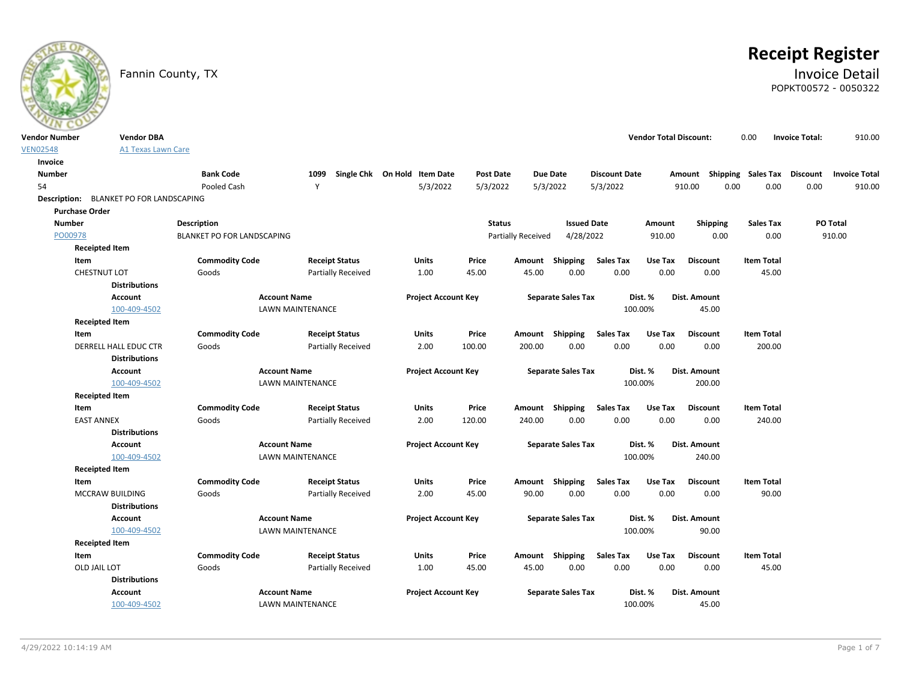

# **Receipt Register**

### Fannin County, TX **Invoice Detail** POPKT00572 - 0050322

| <b>Vendor Number</b>  | <b>Vendor DBA</b>                              |                                   |                                         |                              |                  |                           |                           |                      | <b>Vendor Total Discount:</b> |                       | 0.00 |                   | <b>Invoice Total:</b>              | 910.00               |
|-----------------------|------------------------------------------------|-----------------------------------|-----------------------------------------|------------------------------|------------------|---------------------------|---------------------------|----------------------|-------------------------------|-----------------------|------|-------------------|------------------------------------|----------------------|
| <b>VEN02548</b>       | <b>A1 Texas Lawn Care</b>                      |                                   |                                         |                              |                  |                           |                           |                      |                               |                       |      |                   |                                    |                      |
| Invoice               |                                                |                                   |                                         |                              |                  |                           |                           |                      |                               |                       |      |                   |                                    |                      |
| <b>Number</b>         |                                                | <b>Bank Code</b>                  | 1099                                    | Single Chk On Hold Item Date | <b>Post Date</b> |                           | <b>Due Date</b>           | <b>Discount Date</b> |                               |                       |      |                   | Amount Shipping Sales Tax Discount | <b>Invoice Total</b> |
| 54                    |                                                | Pooled Cash                       | Y                                       | 5/3/2022                     | 5/3/2022         |                           | 5/3/2022                  | 5/3/2022             |                               | 910.00                | 0.00 | 0.00              | 0.00                               | 910.00               |
|                       | <b>Description:</b> BLANKET PO FOR LANDSCAPING |                                   |                                         |                              |                  |                           |                           |                      |                               |                       |      |                   |                                    |                      |
| <b>Purchase Order</b> |                                                |                                   |                                         |                              |                  |                           |                           |                      |                               |                       |      |                   |                                    |                      |
| <b>Number</b>         |                                                | <b>Description</b>                |                                         |                              | <b>Status</b>    |                           | <b>Issued Date</b>        |                      | Amount                        | Shipping              |      | Sales Tax         |                                    | PO Total             |
| PO00978               |                                                | <b>BLANKET PO FOR LANDSCAPING</b> |                                         |                              |                  | <b>Partially Received</b> | 4/28/2022                 |                      | 910.00                        | 0.00                  |      | 0.00              |                                    | 910.00               |
|                       | <b>Receipted Item</b>                          |                                   |                                         |                              |                  |                           |                           |                      |                               |                       |      |                   |                                    |                      |
| Item                  |                                                | <b>Commodity Code</b>             | <b>Receipt Status</b>                   | <b>Units</b>                 | Price            | Amount                    | Shipping                  | <b>Sales Tax</b>     | Use Tax                       | <b>Discount</b>       |      | <b>Item Total</b> |                                    |                      |
|                       | <b>CHESTNUT LOT</b>                            | Goods                             | Partially Received                      | 1.00                         | 45.00            | 45.00                     | 0.00                      | 0.00                 | 0.00                          | 0.00                  |      | 45.00             |                                    |                      |
|                       | <b>Distributions</b>                           |                                   |                                         |                              |                  |                           |                           |                      |                               |                       |      |                   |                                    |                      |
|                       | Account                                        |                                   | <b>Account Name</b>                     | <b>Project Account Key</b>   |                  |                           | <b>Separate Sales Tax</b> |                      | Dist. %                       | Dist. Amount          |      |                   |                                    |                      |
|                       | 100-409-4502                                   |                                   | <b>LAWN MAINTENANCE</b>                 |                              |                  |                           |                           |                      | 100.00%                       | 45.00                 |      |                   |                                    |                      |
|                       | <b>Receipted Item</b>                          |                                   |                                         |                              |                  |                           |                           |                      |                               |                       |      |                   |                                    |                      |
| Item                  |                                                | <b>Commodity Code</b>             | <b>Receipt Status</b>                   | Units                        | Price            |                           | Amount Shipping           | Sales Tax            | Use Tax                       | <b>Discount</b>       |      | <b>Item Total</b> |                                    |                      |
|                       | DERRELL HALL EDUC CTR                          | Goods                             | <b>Partially Received</b>               | 2.00                         | 100.00           | 200.00                    | 0.00                      | 0.00                 | 0.00                          | 0.00                  |      | 200.00            |                                    |                      |
|                       | <b>Distributions</b>                           |                                   |                                         |                              |                  |                           |                           |                      |                               |                       |      |                   |                                    |                      |
|                       | <b>Account</b>                                 |                                   | <b>Account Name</b>                     | <b>Project Account Key</b>   |                  |                           | <b>Separate Sales Tax</b> |                      | Dist. %                       | Dist. Amount          |      |                   |                                    |                      |
|                       | 100-409-4502                                   |                                   | <b>LAWN MAINTENANCE</b>                 |                              |                  |                           |                           |                      | 100.00%                       | 200.00                |      |                   |                                    |                      |
|                       | <b>Receipted Item</b>                          |                                   |                                         |                              |                  |                           |                           |                      |                               |                       |      |                   |                                    |                      |
| Item                  |                                                | <b>Commodity Code</b>             | <b>Receipt Status</b>                   | Units                        | Price            |                           | Amount Shipping           | Sales Tax            | Use Tax                       | <b>Discount</b>       |      | <b>Item Total</b> |                                    |                      |
| <b>EAST ANNEX</b>     |                                                | Goods                             | Partially Received                      | 2.00                         | 120.00           | 240.00                    | 0.00                      | 0.00                 | 0.00                          | 0.00                  |      | 240.00            |                                    |                      |
|                       | <b>Distributions</b>                           |                                   |                                         |                              |                  |                           |                           |                      |                               |                       |      |                   |                                    |                      |
|                       | <b>Account</b>                                 |                                   | <b>Account Name</b>                     | <b>Project Account Key</b>   |                  |                           | <b>Separate Sales Tax</b> |                      | Dist. %                       | Dist. Amount          |      |                   |                                    |                      |
|                       | 100-409-4502                                   |                                   | <b>LAWN MAINTENANCE</b>                 |                              |                  |                           |                           |                      | 100.00%                       | 240.00                |      |                   |                                    |                      |
|                       | <b>Receipted Item</b>                          |                                   |                                         |                              |                  |                           |                           |                      |                               |                       |      |                   |                                    |                      |
| Item                  |                                                | <b>Commodity Code</b>             | <b>Receipt Status</b>                   | Units                        | Price            |                           | Amount Shipping           | <b>Sales Tax</b>     | Use Tax                       | <b>Discount</b>       |      | <b>Item Total</b> |                                    |                      |
|                       | MCCRAW BUILDING                                | Goods                             | Partially Received                      | 2.00                         | 45.00            | 90.00                     | 0.00                      | 0.00                 | 0.00                          | 0.00                  |      | 90.00             |                                    |                      |
|                       | <b>Distributions</b>                           |                                   |                                         |                              |                  |                           |                           |                      |                               |                       |      |                   |                                    |                      |
|                       | <b>Account</b><br>100-409-4502                 |                                   | <b>Account Name</b><br>LAWN MAINTENANCE | <b>Project Account Key</b>   |                  |                           | <b>Separate Sales Tax</b> |                      | Dist. %<br>100.00%            | Dist. Amount<br>90.00 |      |                   |                                    |                      |
|                       | <b>Receipted Item</b>                          |                                   |                                         |                              |                  |                           |                           |                      |                               |                       |      |                   |                                    |                      |
| Item                  |                                                | <b>Commodity Code</b>             | <b>Receipt Status</b>                   | Units                        | Price            |                           | Amount Shipping           | Sales Tax            | Use Tax                       | <b>Discount</b>       |      | <b>Item Total</b> |                                    |                      |
| OLD JAIL LOT          |                                                | Goods                             | <b>Partially Received</b>               | 1.00                         | 45.00            | 45.00                     | 0.00                      | 0.00                 | 0.00                          | 0.00                  |      | 45.00             |                                    |                      |
|                       | <b>Distributions</b>                           |                                   |                                         |                              |                  |                           |                           |                      |                               |                       |      |                   |                                    |                      |
|                       | Account                                        |                                   | <b>Account Name</b>                     | <b>Project Account Key</b>   |                  |                           | <b>Separate Sales Tax</b> |                      | Dist. %                       | Dist. Amount          |      |                   |                                    |                      |
|                       | 100-409-4502                                   |                                   | <b>LAWN MAINTENANCE</b>                 |                              |                  |                           |                           |                      | 100.00%                       | 45.00                 |      |                   |                                    |                      |
|                       |                                                |                                   |                                         |                              |                  |                           |                           |                      |                               |                       |      |                   |                                    |                      |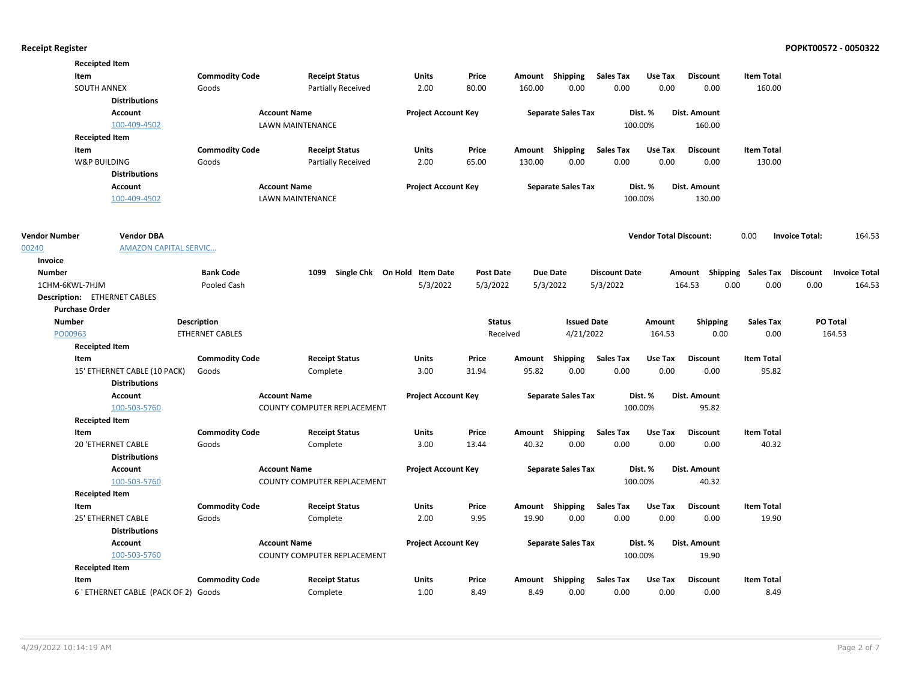|                       | <b>Receipted Item</b>                |                        |                             |                              |                  |        |                           |                      |                               |                                    |                   |                       |                      |
|-----------------------|--------------------------------------|------------------------|-----------------------------|------------------------------|------------------|--------|---------------------------|----------------------|-------------------------------|------------------------------------|-------------------|-----------------------|----------------------|
| Item                  |                                      | <b>Commodity Code</b>  | <b>Receipt Status</b>       | <b>Units</b>                 | Price            |        | Amount Shipping           | <b>Sales Tax</b>     | Use Tax                       | <b>Discount</b>                    | <b>Item Total</b> |                       |                      |
|                       | <b>SOUTH ANNEX</b>                   | Goods                  | Partially Received          | 2.00                         | 80.00            | 160.00 | 0.00                      | 0.00                 | 0.00                          | 0.00                               | 160.00            |                       |                      |
|                       | <b>Distributions</b>                 |                        |                             |                              |                  |        |                           |                      |                               |                                    |                   |                       |                      |
|                       | <b>Account</b>                       |                        | <b>Account Name</b>         | <b>Project Account Key</b>   |                  |        | <b>Separate Sales Tax</b> |                      | Dist. %                       | Dist. Amount                       |                   |                       |                      |
|                       | 100-409-4502                         |                        | <b>LAWN MAINTENANCE</b>     |                              |                  |        |                           | 100.00%              |                               | 160.00                             |                   |                       |                      |
|                       | <b>Receipted Item</b>                |                        |                             |                              |                  |        |                           |                      |                               |                                    |                   |                       |                      |
| Item                  |                                      | <b>Commodity Code</b>  | <b>Receipt Status</b>       | <b>Units</b>                 | Price            |        | Amount Shipping           | <b>Sales Tax</b>     | Use Tax                       | <b>Discount</b>                    | <b>Item Total</b> |                       |                      |
|                       | W&P BUILDING                         | Goods                  | Partially Received          | 2.00                         | 65.00            | 130.00 | 0.00                      | 0.00                 | 0.00                          | 0.00                               | 130.00            |                       |                      |
|                       | <b>Distributions</b>                 |                        |                             |                              |                  |        |                           |                      |                               |                                    |                   |                       |                      |
|                       | <b>Account</b>                       |                        | <b>Account Name</b>         | <b>Project Account Key</b>   |                  |        | <b>Separate Sales Tax</b> |                      | Dist. %                       | Dist. Amount                       |                   |                       |                      |
|                       | 100-409-4502                         |                        | <b>LAWN MAINTENANCE</b>     |                              |                  |        |                           | 100.00%              |                               | 130.00                             |                   |                       |                      |
|                       |                                      |                        |                             |                              |                  |        |                           |                      |                               |                                    |                   |                       |                      |
| <b>Vendor Number</b>  | <b>Vendor DBA</b>                    |                        |                             |                              |                  |        |                           |                      | <b>Vendor Total Discount:</b> |                                    | 0.00              | <b>Invoice Total:</b> | 164.53               |
| 00240                 | <b>AMAZON CAPITAL SERVIC</b>         |                        |                             |                              |                  |        |                           |                      |                               |                                    |                   |                       |                      |
| Invoice               |                                      |                        |                             |                              |                  |        |                           |                      |                               |                                    |                   |                       |                      |
| <b>Number</b>         |                                      | <b>Bank Code</b>       | 1099                        | Single Chk On Hold Item Date | <b>Post Date</b> |        | <b>Due Date</b>           | <b>Discount Date</b> |                               | Amount Shipping Sales Tax Discount |                   |                       | <b>Invoice Total</b> |
| 1CHM-6KWL-7HJM        |                                      | Pooled Cash            |                             | 5/3/2022                     | 5/3/2022         |        | 5/3/2022                  | 5/3/2022             |                               | 0.00<br>164.53                     | 0.00              | 0.00                  | 164.53               |
|                       | Description: ETHERNET CABLES         |                        |                             |                              |                  |        |                           |                      |                               |                                    |                   |                       |                      |
| <b>Purchase Order</b> |                                      |                        |                             |                              |                  |        |                           |                      |                               |                                    |                   |                       |                      |
| <b>Number</b>         |                                      | <b>Description</b>     |                             |                              | <b>Status</b>    |        | <b>Issued Date</b>        |                      | Amount                        | <b>Shipping</b>                    | Sales Tax         |                       | PO Total             |
| PO00963               |                                      | <b>ETHERNET CABLES</b> |                             |                              | Received         |        | 4/21/2022                 |                      | 164.53                        | 0.00                               | 0.00              |                       | 164.53               |
|                       | <b>Receipted Item</b>                |                        |                             |                              |                  |        |                           |                      |                               |                                    |                   |                       |                      |
| Item                  |                                      | <b>Commodity Code</b>  | <b>Receipt Status</b>       | Units                        | Price            | Amount | Shipping                  | <b>Sales Tax</b>     | Use Tax                       | <b>Discount</b>                    | <b>Item Total</b> |                       |                      |
|                       | 15' ETHERNET CABLE (10 PACK)         | Goods                  | Complete                    | 3.00                         | 31.94            | 95.82  | 0.00                      | 0.00                 | 0.00                          | 0.00                               | 95.82             |                       |                      |
|                       | <b>Distributions</b>                 |                        |                             |                              |                  |        |                           |                      |                               |                                    |                   |                       |                      |
|                       | Account                              |                        | <b>Account Name</b>         | <b>Project Account Key</b>   |                  |        | <b>Separate Sales Tax</b> |                      | Dist. %                       | Dist. Amount                       |                   |                       |                      |
|                       | 100-503-5760                         |                        | COUNTY COMPUTER REPLACEMENT |                              |                  |        |                           | 100.00%              |                               | 95.82                              |                   |                       |                      |
|                       | <b>Receipted Item</b>                |                        |                             |                              |                  |        |                           |                      |                               |                                    |                   |                       |                      |
| Item                  |                                      | <b>Commodity Code</b>  | <b>Receipt Status</b>       | Units                        | Price            |        | Amount Shipping           | <b>Sales Tax</b>     | Use Tax                       | <b>Discount</b>                    | <b>Item Total</b> |                       |                      |
|                       | <b>20 'ETHERNET CABLE</b>            | Goods                  | Complete                    | 3.00                         | 13.44            | 40.32  | 0.00                      | 0.00                 | 0.00                          | 0.00                               | 40.32             |                       |                      |
|                       | <b>Distributions</b>                 |                        |                             |                              |                  |        |                           |                      |                               |                                    |                   |                       |                      |
|                       | <b>Account</b>                       |                        | <b>Account Name</b>         | <b>Project Account Key</b>   |                  |        | <b>Separate Sales Tax</b> |                      | Dist. %                       | <b>Dist. Amount</b>                |                   |                       |                      |
|                       | 100-503-5760                         |                        | COUNTY COMPUTER REPLACEMENT |                              |                  |        |                           | 100.00%              |                               | 40.32                              |                   |                       |                      |
|                       | <b>Receipted Item</b>                |                        |                             |                              |                  |        |                           |                      |                               |                                    |                   |                       |                      |
| Item                  |                                      | <b>Commodity Code</b>  | <b>Receipt Status</b>       | <b>Units</b>                 | Price            |        | Amount Shipping           | <b>Sales Tax</b>     | Use Tax                       | <b>Discount</b>                    | <b>Item Total</b> |                       |                      |
|                       | <b>25' ETHERNET CABLE</b>            | Goods                  | Complete                    | 2.00                         | 9.95             | 19.90  | 0.00                      | 0.00                 | 0.00                          | 0.00                               | 19.90             |                       |                      |
|                       | <b>Distributions</b>                 |                        |                             |                              |                  |        |                           |                      |                               |                                    |                   |                       |                      |
|                       | <b>Account</b>                       |                        | <b>Account Name</b>         | <b>Project Account Key</b>   |                  |        | <b>Separate Sales Tax</b> |                      | Dist. %                       | Dist. Amount                       |                   |                       |                      |
|                       | 100-503-5760                         |                        | COUNTY COMPUTER REPLACEMENT |                              |                  |        |                           | 100.00%              |                               | 19.90                              |                   |                       |                      |
|                       | <b>Receipted Item</b>                |                        |                             |                              |                  |        |                           |                      |                               |                                    |                   |                       |                      |
| Item                  |                                      | <b>Commodity Code</b>  | <b>Receipt Status</b>       | <b>Units</b>                 | Price            |        | Amount Shipping           | <b>Sales Tax</b>     | Use Tax                       | <b>Discount</b>                    | <b>Item Total</b> |                       |                      |
|                       | 6 ' ETHERNET CABLE (PACK OF 2) Goods |                        | Complete                    | 1.00                         | 8.49             | 8.49   | 0.00                      | 0.00                 | 0.00                          | 0.00                               | 8.49              |                       |                      |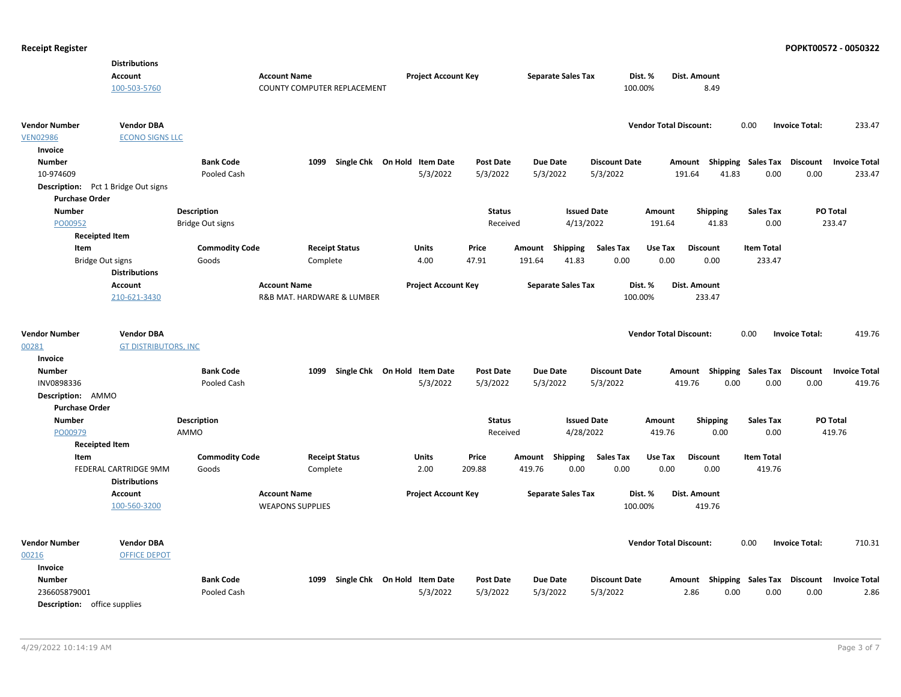|                                          | <b>Distributions</b>                             |                         |                                                |                                   |                  |                           |                      |                               |                                    |                   |                                         |  |
|------------------------------------------|--------------------------------------------------|-------------------------|------------------------------------------------|-----------------------------------|------------------|---------------------------|----------------------|-------------------------------|------------------------------------|-------------------|-----------------------------------------|--|
|                                          | Account                                          |                         | <b>Account Name</b>                            | <b>Project Account Key</b>        |                  | <b>Separate Sales Tax</b> |                      | Dist. %                       | Dist. Amount                       |                   |                                         |  |
|                                          | 100-503-5760                                     |                         | COUNTY COMPUTER REPLACEMENT                    |                                   |                  |                           |                      | 100.00%                       | 8.49                               |                   |                                         |  |
| <b>Vendor Number</b>                     | <b>Vendor DBA</b>                                |                         |                                                |                                   |                  |                           |                      | <b>Vendor Total Discount:</b> |                                    | 0.00              | <b>Invoice Total:</b><br>233.47         |  |
| <b>VEN02986</b>                          | <b>ECONO SIGNS LLC</b>                           |                         |                                                |                                   |                  |                           |                      |                               |                                    |                   |                                         |  |
| Invoice                                  |                                                  |                         |                                                |                                   |                  |                           |                      |                               |                                    |                   |                                         |  |
| <b>Number</b>                            |                                                  | <b>Bank Code</b>        |                                                | 1099 Single Chk On Hold Item Date | <b>Post Date</b> | <b>Due Date</b>           | <b>Discount Date</b> |                               | Amount Shipping Sales Tax          |                   | <b>Discount</b><br><b>Invoice Total</b> |  |
| 10-974609                                |                                                  | Pooled Cash             |                                                | 5/3/2022                          | 5/3/2022         | 5/3/2022                  | 5/3/2022             |                               | 41.83<br>191.64                    | 0.00              | 0.00<br>233.47                          |  |
|                                          | Description: Pct 1 Bridge Out signs              |                         |                                                |                                   |                  |                           |                      |                               |                                    |                   |                                         |  |
| <b>Purchase Order</b>                    |                                                  |                         |                                                |                                   |                  |                           |                      |                               |                                    |                   |                                         |  |
| <b>Number</b>                            |                                                  | <b>Description</b>      |                                                |                                   | <b>Status</b>    |                           | <b>Issued Date</b>   | Amount                        | <b>Shipping</b>                    | Sales Tax         | PO Total                                |  |
| PO00952                                  |                                                  | <b>Bridge Out signs</b> |                                                |                                   | Received         |                           | 4/13/2022            | 191.64                        | 41.83                              | 0.00              | 233.47                                  |  |
|                                          | <b>Receipted Item</b>                            |                         |                                                |                                   |                  |                           |                      |                               |                                    |                   |                                         |  |
| Item                                     |                                                  | <b>Commodity Code</b>   | <b>Receipt Status</b>                          | Units                             | Price            | Shipping<br>Amount        | <b>Sales Tax</b>     | Use Tax                       | <b>Discount</b>                    | <b>Item Total</b> |                                         |  |
|                                          | <b>Bridge Out signs</b>                          | Goods                   | Complete                                       | 4.00                              | 47.91            | 191.64<br>41.83           | 0.00                 | 0.00                          | 0.00                               | 233.47            |                                         |  |
|                                          | <b>Distributions</b>                             |                         |                                                |                                   |                  |                           |                      |                               |                                    |                   |                                         |  |
|                                          | Account                                          |                         | <b>Account Name</b>                            | <b>Project Account Key</b>        |                  | <b>Separate Sales Tax</b> |                      | Dist. %                       | Dist. Amount                       |                   |                                         |  |
|                                          | 210-621-3430                                     |                         | R&B MAT. HARDWARE & LUMBER                     |                                   |                  |                           |                      | 100.00%                       | 233.47                             |                   |                                         |  |
| <b>Vendor Number</b><br>00281<br>Invoice | <b>Vendor DBA</b><br><b>GT DISTRIBUTORS, INC</b> |                         |                                                |                                   |                  |                           |                      | <b>Vendor Total Discount:</b> |                                    | 0.00              | 419.76<br><b>Invoice Total:</b>         |  |
| <b>Number</b>                            |                                                  | <b>Bank Code</b>        | 1099                                           | Single Chk On Hold Item Date      | <b>Post Date</b> | <b>Due Date</b>           | <b>Discount Date</b> |                               | Amount Shipping Sales Tax          |                   | <b>Discount</b><br><b>Invoice Total</b> |  |
| INV0898336                               |                                                  | Pooled Cash             |                                                | 5/3/2022                          | 5/3/2022         | 5/3/2022                  | 5/3/2022             |                               | 419.76<br>0.00                     | 0.00              | 0.00<br>419.76                          |  |
| Description: AMMO                        |                                                  |                         |                                                |                                   |                  |                           |                      |                               |                                    |                   |                                         |  |
| <b>Purchase Order</b>                    |                                                  |                         |                                                |                                   |                  |                           |                      |                               |                                    |                   |                                         |  |
| <b>Number</b>                            |                                                  | Description             |                                                |                                   | <b>Status</b>    |                           | <b>Issued Date</b>   | Amount                        | Shipping                           | <b>Sales Tax</b>  | PO Total                                |  |
| PO00979                                  |                                                  | AMMO                    |                                                |                                   | Received         |                           | 4/28/2022            | 419.76                        | 0.00                               | 0.00              | 419.76                                  |  |
|                                          | <b>Receipted Item</b>                            |                         |                                                |                                   |                  |                           |                      |                               |                                    |                   |                                         |  |
| Item                                     |                                                  | <b>Commodity Code</b>   | <b>Receipt Status</b>                          | Units                             | Price            | Shipping<br>Amount        | <b>Sales Tax</b>     | Use Tax                       | <b>Discount</b>                    | <b>Item Total</b> |                                         |  |
|                                          | FEDERAL CARTRIDGE 9MM                            | Goods                   | Complete                                       | 2.00                              | 209.88           | 419.76<br>0.00            | 0.00                 | 0.00                          | 0.00                               | 419.76            |                                         |  |
|                                          | <b>Distributions</b>                             |                         |                                                |                                   |                  |                           |                      |                               |                                    |                   |                                         |  |
|                                          | Account                                          |                         | <b>Account Name</b><br><b>WEAPONS SUPPLIES</b> | <b>Project Account Key</b>        |                  | <b>Separate Sales Tax</b> |                      | Dist. %<br>100.00%            | Dist. Amount<br>419.76             |                   |                                         |  |
|                                          | 100-560-3200                                     |                         |                                                |                                   |                  |                           |                      |                               |                                    |                   |                                         |  |
| Vendor Number                            | <b>Vendor DBA</b>                                |                         |                                                |                                   |                  |                           |                      | <b>Vendor Total Discount:</b> |                                    | 0.00              | <b>Invoice Total:</b><br>710.31         |  |
| 00216                                    | <b>OFFICE DEPOT</b>                              |                         |                                                |                                   |                  |                           |                      |                               |                                    |                   |                                         |  |
| Invoice                                  |                                                  |                         |                                                |                                   |                  |                           |                      |                               |                                    |                   |                                         |  |
| <b>Number</b>                            |                                                  | <b>Bank Code</b>        |                                                | 1099 Single Chk On Hold Item Date | <b>Post Date</b> | <b>Due Date</b>           | <b>Discount Date</b> |                               | Amount Shipping Sales Tax Discount |                   | <b>Invoice Total</b>                    |  |
| 236605879001                             |                                                  | Pooled Cash             |                                                | 5/3/2022                          | 5/3/2022         | 5/3/2022                  | 5/3/2022             |                               | 2.86<br>0.00                       | 0.00              | 0.00<br>2.86                            |  |
| <b>Description:</b> office supplies      |                                                  |                         |                                                |                                   |                  |                           |                      |                               |                                    |                   |                                         |  |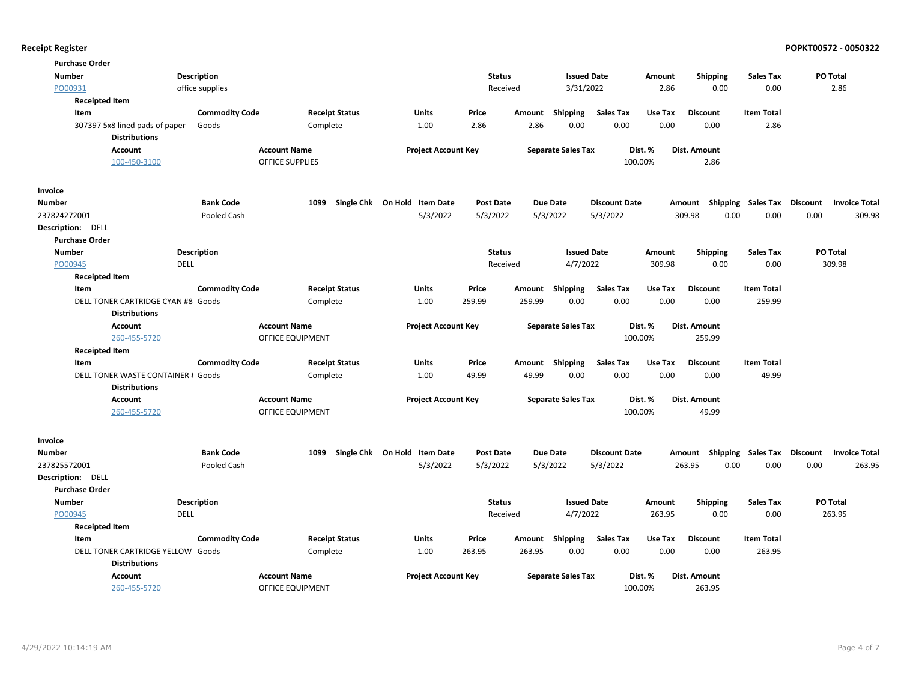| <b>Purchase Order</b>                                      |                       |                         |                              |                  |        |                           |                      |         |                                    |                   |          |                      |
|------------------------------------------------------------|-----------------------|-------------------------|------------------------------|------------------|--------|---------------------------|----------------------|---------|------------------------------------|-------------------|----------|----------------------|
| <b>Number</b>                                              | Description           |                         |                              | <b>Status</b>    |        | <b>Issued Date</b>        |                      | Amount  | <b>Shipping</b>                    | <b>Sales Tax</b>  | PO Total |                      |
| PO00931                                                    | office supplies       |                         |                              | Received         |        | 3/31/2022                 |                      | 2.86    | 0.00                               | 0.00              | 2.86     |                      |
| <b>Receipted Item</b>                                      |                       |                         |                              |                  |        |                           |                      |         |                                    |                   |          |                      |
| Item                                                       | <b>Commodity Code</b> | <b>Receipt Status</b>   | <b>Units</b>                 | Price            | Amount | <b>Shipping</b>           | <b>Sales Tax</b>     | Use Tax | <b>Discount</b>                    | <b>Item Total</b> |          |                      |
| 307397 5x8 lined pads of paper                             | Goods                 | Complete                | 1.00                         | 2.86             | 2.86   | 0.00                      | 0.00                 | 0.00    | 0.00                               | 2.86              |          |                      |
| <b>Distributions</b>                                       |                       |                         |                              |                  |        |                           |                      |         |                                    |                   |          |                      |
| Account                                                    |                       | <b>Account Name</b>     | <b>Project Account Key</b>   |                  |        | <b>Separate Sales Tax</b> |                      | Dist. % | <b>Dist. Amount</b>                |                   |          |                      |
| 100-450-3100                                               |                       | <b>OFFICE SUPPLIES</b>  |                              |                  |        |                           | 100.00%              |         | 2.86                               |                   |          |                      |
| Invoice                                                    |                       |                         |                              |                  |        |                           |                      |         |                                    |                   |          |                      |
| <b>Number</b>                                              | <b>Bank Code</b>      | 1099                    | Single Chk On Hold Item Date | <b>Post Date</b> |        | <b>Due Date</b>           | <b>Discount Date</b> |         | Amount Shipping Sales Tax Discount |                   |          | <b>Invoice Total</b> |
| 237824272001                                               | Pooled Cash           |                         | 5/3/2022                     | 5/3/2022         |        | 5/3/2022                  | 5/3/2022             |         | 309.98<br>0.00                     | 0.00              | 0.00     | 309.98               |
| Description: DELL                                          |                       |                         |                              |                  |        |                           |                      |         |                                    |                   |          |                      |
| <b>Purchase Order</b>                                      |                       |                         |                              |                  |        |                           |                      |         |                                    |                   |          |                      |
| <b>Number</b>                                              | <b>Description</b>    |                         |                              | <b>Status</b>    |        | <b>Issued Date</b>        |                      | Amount  | <b>Shipping</b>                    | <b>Sales Tax</b>  | PO Total |                      |
| PO00945<br>DELL                                            |                       |                         |                              | Received         |        | 4/7/2022                  |                      | 309.98  | 0.00                               | 0.00              | 309.98   |                      |
| <b>Receipted Item</b>                                      |                       |                         |                              |                  |        |                           |                      |         |                                    |                   |          |                      |
| Item                                                       | <b>Commodity Code</b> | <b>Receipt Status</b>   | Units                        | Price            | Amount | <b>Shipping</b>           | <b>Sales Tax</b>     | Use Tax | <b>Discount</b>                    | <b>Item Total</b> |          |                      |
| DELL TONER CARTRIDGE CYAN #8 Goods                         |                       | Complete                | 1.00                         | 259.99           | 259.99 | 0.00                      | 0.00                 | 0.00    | 0.00                               | 259.99            |          |                      |
| <b>Distributions</b>                                       |                       |                         |                              |                  |        |                           |                      |         |                                    |                   |          |                      |
| <b>Account</b>                                             |                       | <b>Account Name</b>     | <b>Project Account Key</b>   |                  |        | <b>Separate Sales Tax</b> |                      | Dist. % | Dist. Amount                       |                   |          |                      |
| 260-455-5720                                               |                       | <b>OFFICE EQUIPMENT</b> |                              |                  |        |                           | 100.00%              |         | 259.99                             |                   |          |                      |
| <b>Receipted Item</b>                                      |                       |                         |                              |                  |        |                           |                      |         |                                    |                   |          |                      |
| Item                                                       | <b>Commodity Code</b> | <b>Receipt Status</b>   | Units                        | Price            | Amount | Shipping                  | <b>Sales Tax</b>     | Use Tax | <b>Discount</b>                    | <b>Item Total</b> |          |                      |
| DELL TONER WASTE CONTAINER # Goods<br><b>Distributions</b> |                       | Complete                | 1.00                         | 49.99            | 49.99  | 0.00                      | 0.00                 | 0.00    | 0.00                               | 49.99             |          |                      |
| <b>Account</b>                                             |                       | <b>Account Name</b>     | <b>Project Account Key</b>   |                  |        | <b>Separate Sales Tax</b> |                      | Dist. % | <b>Dist. Amount</b>                |                   |          |                      |
| 260-455-5720                                               |                       | <b>OFFICE EQUIPMENT</b> |                              |                  |        |                           | 100.00%              |         | 49.99                              |                   |          |                      |
| Invoice                                                    |                       |                         |                              |                  |        |                           |                      |         |                                    |                   |          |                      |
| Number                                                     | <b>Bank Code</b>      | 1099                    | Single Chk On Hold Item Date | <b>Post Date</b> |        | <b>Due Date</b>           | <b>Discount Date</b> |         | Amount Shipping Sales Tax Discount |                   |          | <b>Invoice Total</b> |
| 237825572001                                               | Pooled Cash           |                         | 5/3/2022                     | 5/3/2022         |        | 5/3/2022                  | 5/3/2022             |         | 263.95<br>0.00                     | 0.00              | 0.00     | 263.95               |
| Description: DELL                                          |                       |                         |                              |                  |        |                           |                      |         |                                    |                   |          |                      |
| <b>Purchase Order</b>                                      |                       |                         |                              |                  |        |                           |                      |         |                                    |                   |          |                      |
| <b>Number</b>                                              | Description           |                         |                              | <b>Status</b>    |        | <b>Issued Date</b>        |                      | Amount  | <b>Shipping</b>                    | <b>Sales Tax</b>  | PO Total |                      |
| PO00945<br><b>DELL</b>                                     |                       |                         |                              | Received         |        | 4/7/2022                  |                      | 263.95  | 0.00                               | 0.00              | 263.95   |                      |
| <b>Receipted Item</b>                                      |                       |                         |                              |                  |        |                           |                      |         |                                    |                   |          |                      |
| Item                                                       | <b>Commodity Code</b> | <b>Receipt Status</b>   | Units                        | Price            | Amount | Shipping                  | <b>Sales Tax</b>     | Use Tax | <b>Discount</b>                    | <b>Item Total</b> |          |                      |
| DELL TONER CARTRIDGE YELLOW Goods<br><b>Distributions</b>  |                       | Complete                | 1.00                         | 263.95           | 263.95 | 0.00                      | 0.00                 | 0.00    | 0.00                               | 263.95            |          |                      |
| Account                                                    |                       | <b>Account Name</b>     | <b>Project Account Key</b>   |                  |        | <b>Separate Sales Tax</b> |                      | Dist. % | Dist. Amount                       |                   |          |                      |
| 260-455-5720                                               |                       | <b>OFFICE EQUIPMENT</b> |                              |                  |        |                           | 100.00%              |         | 263.95                             |                   |          |                      |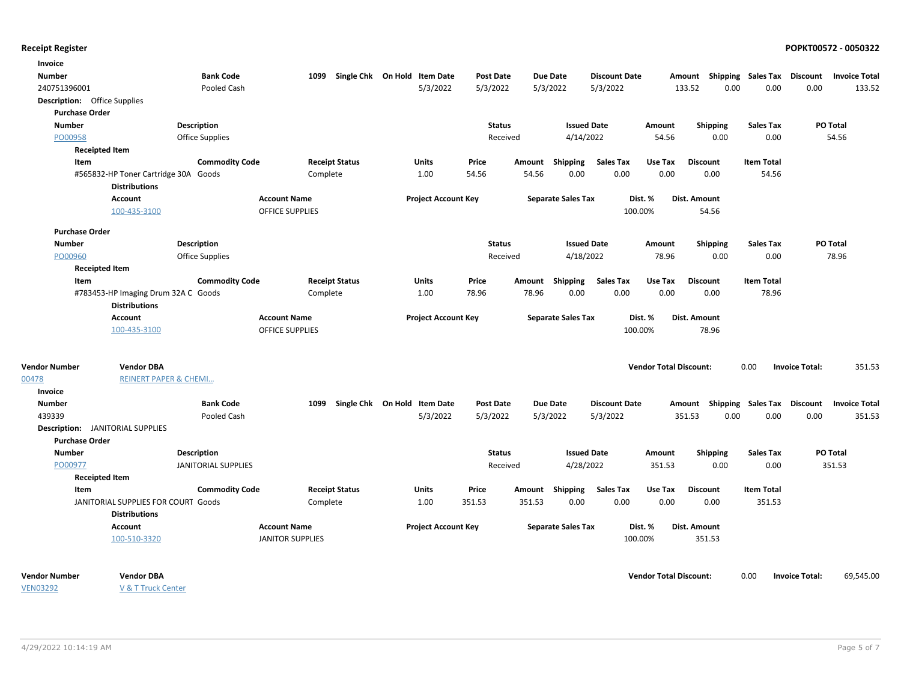| Invoice                                 |                                      |                            |                         |                       |                              |                  |        |                           |                      |                               |                                    |                             |                       |                      |
|-----------------------------------------|--------------------------------------|----------------------------|-------------------------|-----------------------|------------------------------|------------------|--------|---------------------------|----------------------|-------------------------------|------------------------------------|-----------------------------|-----------------------|----------------------|
| <b>Number</b>                           |                                      | <b>Bank Code</b>           | 1099                    |                       | Single Chk On Hold Item Date | <b>Post Date</b> |        | Due Date                  | <b>Discount Date</b> |                               | Amount Shipping Sales Tax Discount |                             |                       | <b>Invoice Total</b> |
| 240751396001                            |                                      | Pooled Cash                |                         |                       | 5/3/2022                     | 5/3/2022         |        | 5/3/2022                  | 5/3/2022             |                               | 133.52<br>0.00                     | 0.00                        | 0.00                  | 133.52               |
| <b>Description:</b> Office Supplies     |                                      |                            |                         |                       |                              |                  |        |                           |                      |                               |                                    |                             |                       |                      |
| <b>Purchase Order</b>                   |                                      |                            |                         |                       |                              |                  |        |                           |                      |                               |                                    |                             |                       |                      |
| <b>Number</b>                           |                                      | Description                |                         |                       |                              | <b>Status</b>    |        | <b>Issued Date</b>        |                      | Amount                        | Shipping                           | <b>Sales Tax</b>            | PO Total              |                      |
| PO00958                                 |                                      | <b>Office Supplies</b>     |                         |                       |                              | Received         |        | 4/14/2022                 |                      | 54.56                         | 0.00                               | 0.00                        |                       | 54.56                |
| <b>Receipted Item</b>                   |                                      |                            |                         |                       |                              |                  |        |                           |                      |                               |                                    |                             |                       |                      |
| Item                                    |                                      | <b>Commodity Code</b>      |                         | <b>Receipt Status</b> | Units                        | Price            | Amount | Shipping                  | <b>Sales Tax</b>     | Use Tax                       | <b>Discount</b>                    | <b>Item Total</b>           |                       |                      |
|                                         | #565832-HP Toner Cartridge 30A Goods |                            | Complete                |                       | 1.00                         | 54.56            | 54.56  | 0.00                      | 0.00                 | 0.00                          | 0.00                               | 54.56                       |                       |                      |
|                                         | <b>Distributions</b>                 |                            |                         |                       |                              |                  |        |                           |                      |                               |                                    |                             |                       |                      |
|                                         | Account                              |                            | <b>Account Name</b>     |                       | <b>Project Account Key</b>   |                  |        | <b>Separate Sales Tax</b> |                      | Dist. %                       | Dist. Amount                       |                             |                       |                      |
|                                         | 100-435-3100                         |                            | <b>OFFICE SUPPLIES</b>  |                       |                              |                  |        |                           | 100.00%              |                               | 54.56                              |                             |                       |                      |
| <b>Purchase Order</b>                   |                                      |                            |                         |                       |                              |                  |        |                           |                      |                               |                                    |                             |                       |                      |
| <b>Number</b>                           |                                      | <b>Description</b>         |                         |                       |                              | <b>Status</b>    |        | <b>Issued Date</b>        |                      | Amount                        | <b>Shipping</b>                    | <b>Sales Tax</b>            | <b>PO Total</b>       |                      |
| PO00960                                 |                                      | Office Supplies            |                         |                       |                              | Received         |        | 4/18/2022                 |                      | 78.96                         | 0.00                               | 0.00                        |                       | 78.96                |
| <b>Receipted Item</b>                   |                                      |                            |                         |                       |                              |                  |        |                           |                      |                               |                                    |                             |                       |                      |
| Item                                    |                                      | <b>Commodity Code</b>      |                         | <b>Receipt Status</b> | <b>Units</b>                 | Price            |        | Amount Shipping           | <b>Sales Tax</b>     | Use Tax                       | <b>Discount</b>                    | <b>Item Total</b>           |                       |                      |
|                                         | #783453-HP Imaging Drum 32A C Goods  |                            | Complete                |                       | 1.00                         | 78.96            | 78.96  | 0.00                      | 0.00                 | 0.00                          | 0.00                               | 78.96                       |                       |                      |
|                                         | <b>Distributions</b>                 |                            |                         |                       |                              |                  |        |                           |                      |                               |                                    |                             |                       |                      |
|                                         | Account                              |                            | <b>Account Name</b>     |                       | <b>Project Account Key</b>   |                  |        | <b>Separate Sales Tax</b> |                      | Dist. %                       | Dist. Amount                       |                             |                       |                      |
|                                         | 100-435-3100                         |                            | OFFICE SUPPLIES         |                       |                              |                  |        |                           | 100.00%              |                               | 78.96                              |                             |                       |                      |
|                                         |                                      |                            |                         |                       |                              |                  |        |                           |                      |                               |                                    |                             |                       |                      |
| <b>Vendor Number</b>                    | <b>Vendor DBA</b>                    |                            |                         |                       |                              |                  |        |                           |                      | <b>Vendor Total Discount:</b> |                                    | 0.00                        | <b>Invoice Total:</b> | 351.53               |
| 00478                                   | <b>REINERT PAPER &amp; CHEMI</b>     |                            |                         |                       |                              |                  |        |                           |                      |                               |                                    |                             |                       |                      |
| Invoice                                 |                                      |                            |                         |                       |                              |                  |        |                           |                      |                               |                                    |                             |                       |                      |
| <b>Number</b>                           |                                      | <b>Bank Code</b>           | 1099                    |                       | Single Chk On Hold Item Date | <b>Post Date</b> |        | Due Date                  | <b>Discount Date</b> |                               | Amount                             | Shipping Sales Tax Discount |                       | <b>Invoice Total</b> |
| 439339                                  |                                      | Pooled Cash                |                         |                       | 5/3/2022                     | 5/3/2022         |        | 5/3/2022                  | 5/3/2022             |                               | 351.53<br>0.00                     | 0.00                        | 0.00                  | 351.53               |
| <b>Description:</b> JANITORIAL SUPPLIES |                                      |                            |                         |                       |                              |                  |        |                           |                      |                               |                                    |                             |                       |                      |
| <b>Purchase Order</b>                   |                                      |                            |                         |                       |                              |                  |        |                           |                      |                               |                                    |                             |                       |                      |
| <b>Number</b>                           |                                      | <b>Description</b>         |                         |                       |                              | <b>Status</b>    |        | <b>Issued Date</b>        |                      | Amount                        | <b>Shipping</b>                    | <b>Sales Tax</b>            | <b>PO Total</b>       |                      |
| PO00977                                 |                                      | <b>JANITORIAL SUPPLIES</b> |                         |                       |                              | Received         |        | 4/28/2022                 |                      | 351.53                        | 0.00                               | 0.00                        |                       | 351.53               |
| <b>Receipted Item</b>                   |                                      |                            |                         |                       |                              |                  |        |                           |                      |                               |                                    |                             |                       |                      |
| Item                                    |                                      | <b>Commodity Code</b>      |                         | <b>Receipt Status</b> | Units                        | Price            | Amount | Shipping                  | <b>Sales Tax</b>     | Use Tax                       | <b>Discount</b>                    | <b>Item Total</b>           |                       |                      |
|                                         | JANITORIAL SUPPLIES FOR COURT Goods  |                            | Complete                |                       | 1.00                         | 351.53           | 351.53 | 0.00                      | 0.00                 | 0.00                          | 0.00                               | 351.53                      |                       |                      |
|                                         | <b>Distributions</b>                 |                            |                         |                       |                              |                  |        |                           |                      |                               |                                    |                             |                       |                      |
|                                         | <b>Account</b>                       |                            | <b>Account Name</b>     |                       | <b>Project Account Key</b>   |                  |        | <b>Separate Sales Tax</b> |                      | Dist. %                       | Dist. Amount                       |                             |                       |                      |
|                                         | 100-510-3320                         |                            | <b>JANITOR SUPPLIES</b> |                       |                              |                  |        |                           | 100.00%              |                               | 351.53                             |                             |                       |                      |
|                                         |                                      |                            |                         |                       |                              |                  |        |                           |                      |                               |                                    |                             |                       |                      |
| <b>Vendor Number</b>                    | <b>Vendor DBA</b>                    |                            |                         |                       |                              |                  |        |                           |                      | <b>Vendor Total Discount:</b> |                                    | 0.00                        | <b>Invoice Total:</b> | 69,545.00            |

VEN03292

V & T Truck Center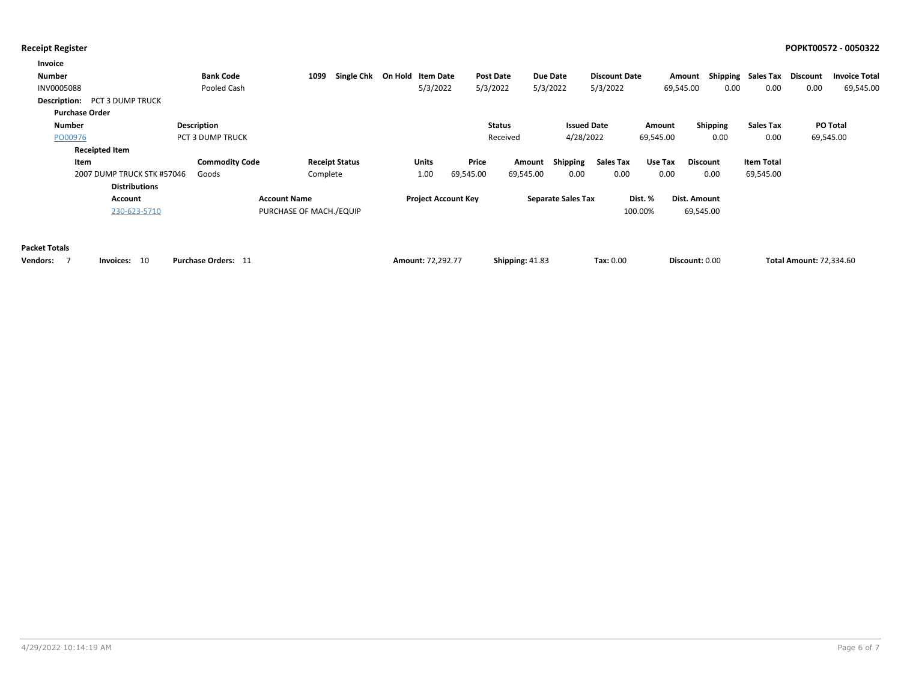| Invoice                              |                         |                         |                   |                            |                  |                           |                      |           |                     |                    |          |                      |
|--------------------------------------|-------------------------|-------------------------|-------------------|----------------------------|------------------|---------------------------|----------------------|-----------|---------------------|--------------------|----------|----------------------|
| <b>Number</b>                        | <b>Bank Code</b>        | Single Chk<br>1099      | On Hold Item Date |                            | <b>Post Date</b> | Due Date                  | <b>Discount Date</b> |           | Amount              | Shipping Sales Tax | Discount | <b>Invoice Total</b> |
| <b>INV0005088</b>                    | Pooled Cash             |                         | 5/3/2022          |                            | 5/3/2022         | 5/3/2022                  | 5/3/2022             | 69,545.00 | 0.00                | 0.00               | 0.00     | 69,545.00            |
| <b>Description: PCT 3 DUMP TRUCK</b> |                         |                         |                   |                            |                  |                           |                      |           |                     |                    |          |                      |
| <b>Purchase Order</b>                |                         |                         |                   |                            |                  |                           |                      |           |                     |                    |          |                      |
| Number                               | Description             |                         |                   |                            | <b>Status</b>    | <b>Issued Date</b>        |                      | Amount    | Shipping            | Sales Tax          |          | <b>PO Total</b>      |
| PO00976                              | <b>PCT 3 DUMP TRUCK</b> |                         |                   |                            | Received         | 4/28/2022                 |                      | 69,545.00 | 0.00                | 0.00               |          | 69,545.00            |
| <b>Receipted Item</b>                |                         |                         |                   |                            |                  |                           |                      |           |                     |                    |          |                      |
| Item                                 | <b>Commodity Code</b>   | <b>Receipt Status</b>   | Units             | Price                      | Amount           | Shipping                  | Sales Tax            | Use Tax   | <b>Discount</b>     | <b>Item Total</b>  |          |                      |
| 2007 DUMP TRUCK STK #57046           | Goods                   | Complete                | 1.00              | 69,545.00                  | 69,545.00        | 0.00                      | 0.00                 | 0.00      | 0.00                | 69,545.00          |          |                      |
| <b>Distributions</b>                 |                         |                         |                   |                            |                  |                           |                      |           |                     |                    |          |                      |
| Account                              | <b>Account Name</b>     |                         |                   | <b>Project Account Key</b> |                  | <b>Separate Sales Tax</b> |                      | Dist. %   | <b>Dist. Amount</b> |                    |          |                      |
| 230-623-5710                         |                         | PURCHASE OF MACH./EQUIP |                   |                            |                  |                           |                      | 100.00%   | 69,545.00           |                    |          |                      |

### **Packet Totals**

| <b>Vendors:</b> | - 10<br>Invoices: | <b>Purchase Orders:</b><br>. | Amount: 72.292.77 | <b>Shipping: 41.83</b> | <b>Tax: 0.00</b> | Discount: 0.00 | <b>Total Amount: 72,334.60</b> |
|-----------------|-------------------|------------------------------|-------------------|------------------------|------------------|----------------|--------------------------------|
|-----------------|-------------------|------------------------------|-------------------|------------------------|------------------|----------------|--------------------------------|